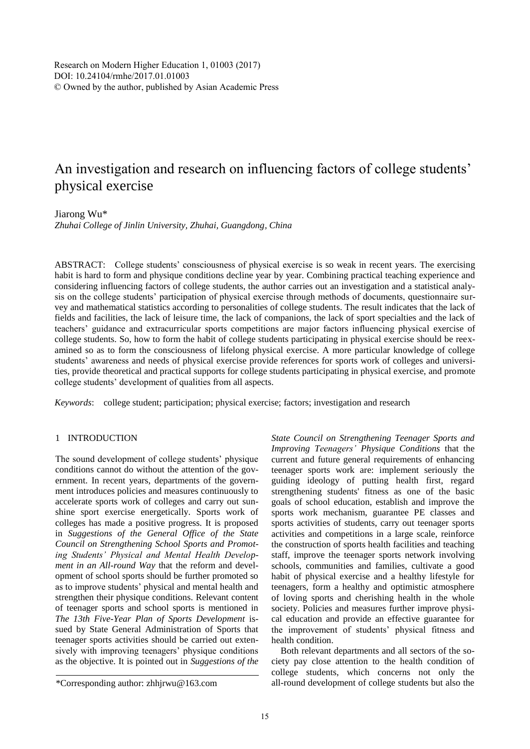Research on Modern Higher Education 1, 01003 (2017) DOI: 10.24104/rmhe/2017.01.01003 © Owned by the author, published by Asian Academic Press

# An investigation and research on influencing factors of college students' physical exercise

## Jiarong Wu\*

*Zhuhai College of Jinlin University, Zhuhai, Guangdong, China*

ABSTRACT: College students' consciousness of physical exercise is so weak in recent years. The exercising habit is hard to form and physique conditions decline year by year. Combining practical teaching experience and considering influencing factors of college students, the author carries out an investigation and a statistical analysis on the college students' participation of physical exercise through methods of documents, questionnaire survey and mathematical statistics according to personalities of college students. The result indicates that the lack of fields and facilities, the lack of leisure time, the lack of companions, the lack of sport specialties and the lack of teachers' guidance and extracurricular sports competitions are major factors influencing physical exercise of college students. So, how to form the habit of college students participating in physical exercise should be reexamined so as to form the consciousness of lifelong physical exercise. A more particular knowledge of college students' awareness and needs of physical exercise provide references for sports work of colleges and universities, provide theoretical and practical supports for college students participating in physical exercise, and promote college students' development of qualities from all aspects.

*Keywords*: college student; participation; physical exercise; factors; investigation and research

## 1 INTRODUCTION

The sound development of college students' physique conditions cannot do without the attention of the government. In recent years, departments of the government introduces policies and measures continuously to accelerate sports work of colleges and carry out sunshine sport exercise energetically. Sports work of colleges has made a positive progress. It is proposed in *Suggestions of the General Office of the State Council on Strengthening School Sports and Promoting Students' Physical and Mental Health Development in an All-round Way* that the reform and development of school sports should be further promoted so as to improve students' physical and mental health and strengthen their physique conditions. Relevant content of teenager sports and school sports is mentioned in *The 13th Five-Year Plan of Sports Development* issued by State General Administration of Sports that teenager sports activities should be carried out extensively with improving teenagers' physique conditions as the objective. It is pointed out in *Suggestions of the* 

*State Council on Strengthening Teenager Sports and Improving Teenagers' Physique Conditions* that the current and future general requirements of enhancing teenager sports work are: implement seriously the guiding ideology of putting health first, regard strengthening students' fitness as one of the basic goals of school education, establish and improve the sports work mechanism, guarantee PE classes and sports activities of students, carry out teenager sports activities and competitions in a large scale, reinforce the construction of sports health facilities and teaching staff, improve the teenager sports network involving schools, communities and families, cultivate a good habit of physical exercise and a healthy lifestyle for teenagers, form a healthy and optimistic atmosphere of loving sports and cherishing health in the whole society. Policies and measures further improve physical education and provide an effective guarantee for the improvement of students' physical fitness and health condition.

Both relevant departments and all sectors of the society pay close attention to the health condition of college students, which concerns not only the all-round development of college students but also the

<sup>\*</sup>Corresponding author: zhhjrwu@163.com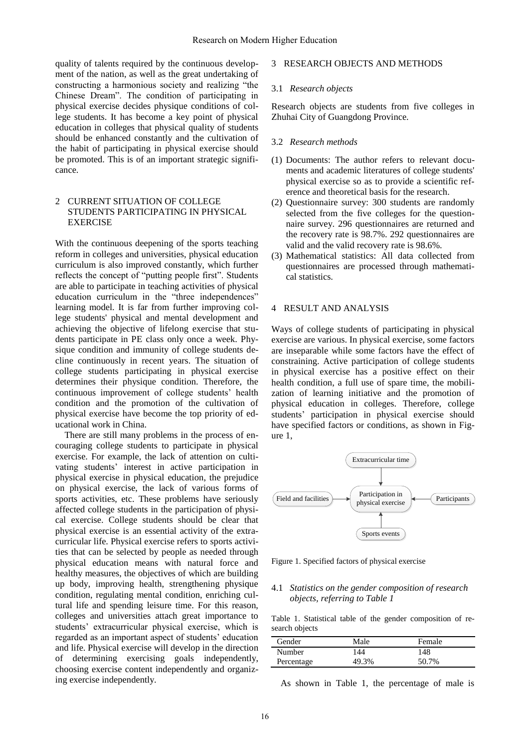quality of talents required by the continuous development of the nation, as well as the great undertaking of constructing a harmonious society and realizing "the Chinese Dream". The condition of participating in physical exercise decides physique conditions of college students. It has become a key point of physical education in colleges that physical quality of students should be enhanced constantly and the cultivation of the habit of participating in physical exercise should be promoted. This is of an important strategic significance.

## 2 CURRENT SITUATION OF COLLEGE STUDENTS PARTICIPATING IN PHYSICAL EXERCISE

With the continuous deepening of the sports teaching reform in colleges and universities, physical education curriculum is also improved constantly, which further reflects the concept of "putting people first". Students are able to participate in teaching activities of physical education curriculum in the "three independences" learning model. It is far from further improving college students' physical and mental development and achieving the objective of lifelong exercise that students participate in PE class only once a week. Physique condition and immunity of college students decline continuously in recent years. The situation of college students participating in physical exercise determines their physique condition. Therefore, the continuous improvement of college students' health condition and the promotion of the cultivation of physical exercise have become the top priority of educational work in China.

There are still many problems in the process of encouraging college students to participate in physical exercise. For example, the lack of attention on cultivating students' interest in active participation in physical exercise in physical education, the prejudice on physical exercise, the lack of various forms of sports activities, etc. These problems have seriously affected college students in the participation of physical exercise. College students should be clear that physical exercise is an essential activity of the extracurricular life. Physical exercise refers to sports activities that can be selected by people as needed through physical education means with natural force and healthy measures, the objectives of which are building up body, improving health, strengthening physique condition, regulating mental condition, enriching cultural life and spending leisure time. For this reason, colleges and universities attach great importance to students' extracurricular physical exercise, which is regarded as an important aspect of students' education and life. Physical exercise will develop in the direction of determining exercising goals independently, choosing exercise content independently and organizing exercise independently.

## 3 RESEARCH OBJECTS AND METHODS

#### 3.1 *Research objects*

Research objects are students from five colleges in Zhuhai City of Guangdong Province.

#### 3.2 *Research methods*

- (1) Documents: The author refers to relevant documents and academic literatures of college students' physical exercise so as to provide a scientific reference and theoretical basis for the research.
- (2) Questionnaire survey: 300 students are randomly selected from the five colleges for the questionnaire survey. 296 questionnaires are returned and the recovery rate is 98.7%. 292 questionnaires are valid and the valid recovery rate is 98.6%.
- (3) Mathematical statistics: All data collected from questionnaires are processed through mathematical statistics.

## 4 RESULT AND ANALYSIS

Ways of college students of participating in physical exercise are various. In physical exercise, some factors are inseparable while some factors have the effect of constraining. Active participation of college students in physical exercise has a positive effect on their health condition, a full use of spare time, the mobilization of learning initiative and the promotion of physical education in colleges. Therefore, college students' participation in physical exercise should have specified factors or conditions, as shown in Figure 1,



Figure 1. Specified factors of physical exercise

#### 4.1 *Statistics on the gender composition of research objects, referring to Table 1*

Table 1. Statistical table of the gender composition of research objects

| Gender     | Male  | Female |
|------------|-------|--------|
| Number     | 44    | 148    |
| Percentage | 49.3% | 50.7%  |

As shown in Table 1, the percentage of male is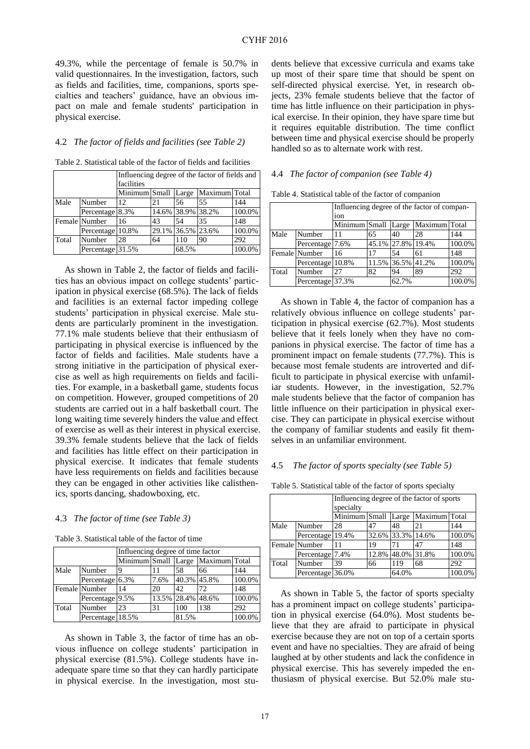49.3%, while the percentage of female is 50.7% in valid questionnaires. In the investigation, factors, such as fields and facilities, time, companions, sports specialties and teachers' guidance, have an obvious impact on male and female students' participation in physical exercise.

## 4.2 *The factor of fields and facilities (see Table 2)*

Table 2. Statistical table of the factor of fields and facilities

|       |                  | Influencing degree of the factor of fields and |    |                   |               |        |  |  |  |
|-------|------------------|------------------------------------------------|----|-------------------|---------------|--------|--|--|--|
|       |                  | facilities                                     |    |                   |               |        |  |  |  |
|       |                  | Minimum Small                                  |    | Large             | Maximum Total |        |  |  |  |
| Male  | Number           | 12                                             | 21 | 56                | 55            | 144    |  |  |  |
|       | Percentage 8.3%  |                                                |    | 14.6% 38.9% 38.2% |               | 100.0% |  |  |  |
|       | Female Number    | 16                                             | 43 | 54                | 35            | 148    |  |  |  |
|       | Percentage 10.8% |                                                |    | 29.1% 36.5% 23.6% |               | 100.0% |  |  |  |
| Total | Number           | 28                                             | 64 | 110               | 90            | 292    |  |  |  |
|       | Percentage 31.5% |                                                |    | 68.5%             |               | 100.0% |  |  |  |

As shown in Table 2, the factor of fields and facilities has an obvious impact on college students' participation in physical exercise (68.5%). The lack of fields and facilities is an external factor impeding college students' participation in physical exercise. Male students are particularly prominent in the investigation. 77.1% male students believe that their enthusiasm of participating in physical exercise is influenced by the factor of fields and facilities. Male students have a strong initiative in the participation of physical exercise as well as high requirements on fields and facilities. For example, in a basketball game, students focus on competition. However, grouped competitions of 20 students are carried out in a half basketball court. The long waiting time severely hinders the value and effect of exercise as well as their interest in physical exercise. 39.3% female students believe that the lack of fields and facilities has little effect on their participation in physical exercise. It indicates that female students have less requirements on fields and facilities because they can be engaged in other activities like calisthenics, sports dancing, shadowboxing, etc.

#### 4.3 *The factor of time (see Table 3)*

Table 3. Statistical table of the factor of time

|       |                  | Influencing degree of time factor |      |                   |                                   |        |  |
|-------|------------------|-----------------------------------|------|-------------------|-----------------------------------|--------|--|
|       |                  |                                   |      |                   | Minimum Small Large Maximum Total |        |  |
| Male  | Number           | 9                                 |      | 58                | 66                                | 144    |  |
|       | Percentage 6.3%  |                                   | 7.6% | 40.3% 45.8%       |                                   | 100.0% |  |
|       | Female Number    | 14                                | 20   | 42                | 72                                | 148    |  |
|       | Percentage 9.5%  |                                   |      | 13.5% 28.4% 48.6% |                                   | 100.0% |  |
| Total | Number           | 23                                | 31   | 100               | 138                               | 292    |  |
|       | Percentage 18.5% |                                   |      | 81.5%             |                                   | 100.0% |  |

As shown in Table 3, the factor of time has an obvious influence on college students' participation in physical exercise (81.5%). College students have inadequate spare time so that they can hardly participate in physical exercise. In the investigation, most students believe that excessive curricula and exams take up most of their spare time that should be spent on self-directed physical exercise. Yet, in research objects, 23% female students believe that the factor of time has little influence on their participation in physical exercise. In their opinion, they have spare time but it requires equitable distribution. The time conflict between time and physical exercise should be properly handled so as to alternate work with rest.

#### 4.4 *The factor of companion (see Table 4)*

| Influencing degree of the factor of compan- |                  |               |    |                   |               |        |  |
|---------------------------------------------|------------------|---------------|----|-------------------|---------------|--------|--|
|                                             |                  | ion           |    |                   |               |        |  |
|                                             |                  | Minimum Small |    | Large             | Maximum Total |        |  |
| Male                                        | Number           |               | 65 | 40                | 28            | 144    |  |
|                                             | Percentage 7.6%  |               |    | 45.1% 27.8% 19.4% |               | 100.0% |  |
|                                             | Female Number    | 16            | 17 | 54                | 61            | 148    |  |
|                                             | Percentage 10.8% |               |    | 11.5% 36.5% 41.2% |               | 100.0% |  |
| Total                                       | Number           | 27            | 82 | 94                | 89            | 292    |  |
|                                             | Percentage 37.3% |               |    | 62.7%             |               | 100.0% |  |

Table 4. Statistical table of the factor of companion

As shown in Table 4, the factor of companion has a relatively obvious influence on college students' participation in physical exercise (62.7%). Most students believe that it feels lonely when they have no companions in physical exercise. The factor of time has a prominent impact on female students (77.7%). This is because most female students are introverted and difficult to participate in physical exercise with unfamiliar students. However, in the investigation, 52.7% male students believe that the factor of companion has little influence on their participation in physical exercise. They can participate in physical exercise without the company of familiar students and easily fit themselves in an unfamiliar environment.

#### 4.5 *The factor of sports specialty (see Table 5)*

Table 5. Statistical table of the factor of sports specialty

|                  |                  | Influencing degree of the factor of sports<br>specialty |       |                   |    |        |
|------------------|------------------|---------------------------------------------------------|-------|-------------------|----|--------|
|                  |                  | Maximum Total<br>Minimum Small<br>Large                 |       |                   |    |        |
| Male             | Number           | 28                                                      | 47    | 48                | 21 | 144    |
|                  | Percentage 19.4% |                                                         |       | 32.6% 33.3% 14.6% |    | 100.0% |
|                  | Female Number    |                                                         | 19    | 71                | 47 | 148    |
|                  | Percentage 7.4%  |                                                         | 12.8% | 48.0% 31.8%       |    | 100.0% |
| Total            | Number           | 39                                                      | 66    | 119               | 68 | 292    |
| Percentage 36.0% |                  |                                                         |       | 64.0%             |    | 100.0% |

As shown in Table 5, the factor of sports specialty has a prominent impact on college students' participation in physical exercise (64.0%). Most students believe that they are afraid to participate in physical exercise because they are not on top of a certain sports event and have no specialties. They are afraid of being laughed at by other students and lack the confidence in physical exercise. This has severely impeded the enthusiasm of physical exercise. But 52.0% male stu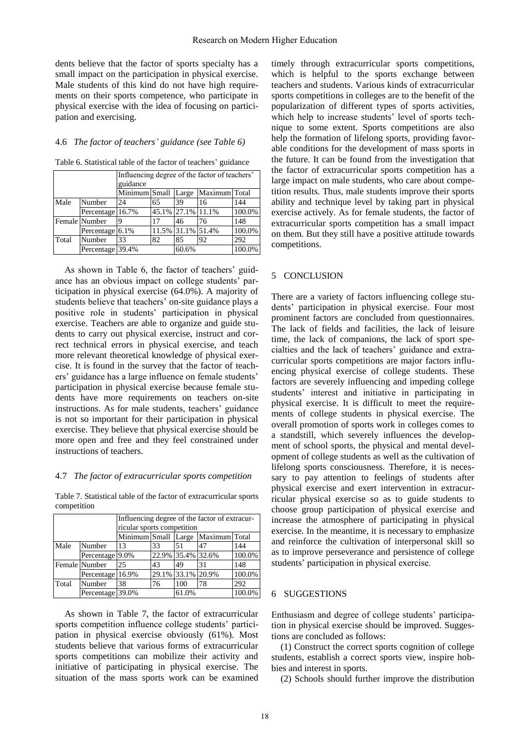dents believe that the factor of sports specialty has a small impact on the participation in physical exercise. Male students of this kind do not have high requirements on their sports competence, who participate in physical exercise with the idea of focusing on participation and exercising.

## 4.6 *The factor of teachers' guidance (see Table 6)*

| Table 6. Statistical table of the factor of teachers' guidance |  |  |  |  |
|----------------------------------------------------------------|--|--|--|--|
|----------------------------------------------------------------|--|--|--|--|

|       |                  | Influencing degree of the factor of teachers' |                   |                   |                                   |        |  |  |
|-------|------------------|-----------------------------------------------|-------------------|-------------------|-----------------------------------|--------|--|--|
|       |                  | guidance                                      |                   |                   |                                   |        |  |  |
|       |                  |                                               |                   |                   | Minimum Small Large Maximum Total |        |  |  |
| Male  | Number           | 24                                            | 65                | 39                | 16                                | 144    |  |  |
|       | Percentage 16.7% |                                               | 45.1% 27.1% 11.1% |                   |                                   | 100.0% |  |  |
|       | Female Number    | q                                             | 17                | 46                | 76                                | 148    |  |  |
|       | Percentage 6.1%  |                                               |                   | 11.5% 31.1% 51.4% |                                   | 100.0% |  |  |
| Total | Number           | 33                                            | 82                | 85                | 92                                | 292    |  |  |
|       | Percentage 39.4% |                                               |                   | 60.6%             |                                   | 100.0% |  |  |

As shown in Table 6, the factor of teachers' guidance has an obvious impact on college students' participation in physical exercise (64.0%). A majority of students believe that teachers' on-site guidance plays a positive role in students' participation in physical exercise. Teachers are able to organize and guide students to carry out physical exercise, instruct and correct technical errors in physical exercise, and teach more relevant theoretical knowledge of physical exercise. It is found in the survey that the factor of teachers' guidance has a large influence on female students' participation in physical exercise because female students have more requirements on teachers on-site instructions. As for male students, teachers' guidance is not so important for their participation in physical exercise. They believe that physical exercise should be more open and free and they feel constrained under instructions of teachers.

#### 4.7 *The factor of extracurricular sports competition*

Table 7. Statistical table of the factor of extracurricular sports competition

|       |                  | ricular sports competition |    |                   | Influencing degree of the factor of extracur- |        |
|-------|------------------|----------------------------|----|-------------------|-----------------------------------------------|--------|
|       |                  |                            |    |                   | Minimum Small Large Maximum Total             |        |
| Male  | Number           | 13                         | 33 | 51                | 47                                            | 144    |
|       | Percentage 9.0%  |                            |    | 22.9% 35.4% 32.6% |                                               | 100.0% |
|       | Female Number    | 25                         | 43 | 49                | 31                                            | 148    |
|       | Percentage 16.9% |                            |    | 29.1% 33.1% 20.9% |                                               | 100.0% |
| Total | Number           | 38                         | 76 | 100               | 78                                            | 292    |
|       | Percentage 39.0% |                            |    | 61.0%             |                                               | 100.0% |

As shown in Table 7, the factor of extracurricular sports competition influence college students' participation in physical exercise obviously (61%). Most students believe that various forms of extracurricular sports competitions can mobilize their activity and initiative of participating in physical exercise. The situation of the mass sports work can be examined timely through extracurricular sports competitions, which is helpful to the sports exchange between teachers and students. Various kinds of extracurricular sports competitions in colleges are to the benefit of the popularization of different types of sports activities, which help to increase students' level of sports technique to some extent. Sports competitions are also help the formation of lifelong sports, providing favorable conditions for the development of mass sports in the future. It can be found from the investigation that the factor of extracurricular sports competition has a large impact on male students, who care about competition results. Thus, male students improve their sports ability and technique level by taking part in physical exercise actively. As for female students, the factor of extracurricular sports competition has a small impact on them. But they still have a positive attitude towards competitions.

## 5 CONCLUSION

There are a variety of factors influencing college students' participation in physical exercise. Four most prominent factors are concluded from questionnaires. The lack of fields and facilities, the lack of leisure time, the lack of companions, the lack of sport specialties and the lack of teachers' guidance and extracurricular sports competitions are major factors influencing physical exercise of college students. These factors are severely influencing and impeding college students' interest and initiative in participating in physical exercise. It is difficult to meet the requirements of college students in physical exercise. The overall promotion of sports work in colleges comes to a standstill, which severely influences the development of school sports, the physical and mental development of college students as well as the cultivation of lifelong sports consciousness. Therefore, it is necessary to pay attention to feelings of students after physical exercise and exert intervention in extracurricular physical exercise so as to guide students to choose group participation of physical exercise and increase the atmosphere of participating in physical exercise. In the meantime, it is necessary to emphasize and reinforce the cultivation of interpersonal skill so as to improve perseverance and persistence of college students' participation in physical exercise.

#### 6 SUGGESTIONS

Enthusiasm and degree of college students' participation in physical exercise should be improved. Suggestions are concluded as follows:

(1) Construct the correct sports cognition of college students, establish a correct sports view, inspire hobbies and interest in sports.

(2) Schools should further improve the distribution